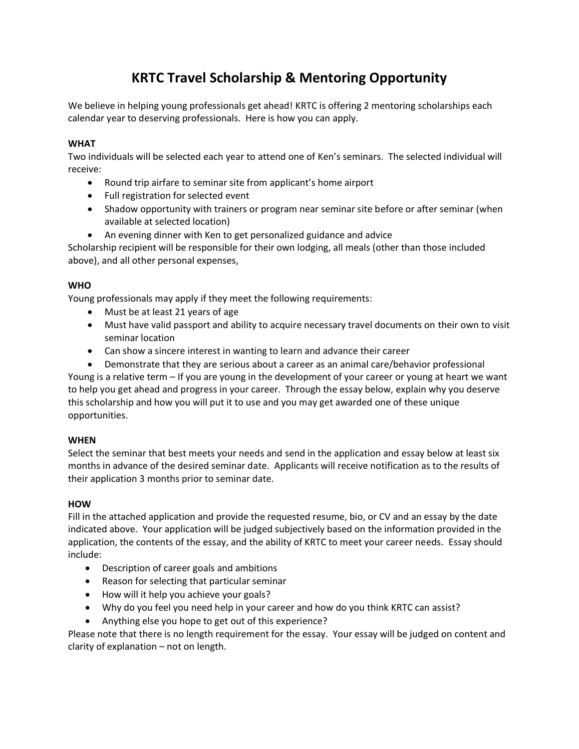## **KRTC Travel Scholarship & Mentoring Opportunity**

We believe in helping young professionals get ahead! KRTC is offering 2 mentoring scholarships each calendar year to deserving professionals. Here is how you can apply.

#### **WHAT**

Two individuals will be selected each year to attend one of Ken's seminars. The selected individual will receive:

- Round trip airfare to seminar site from applicant's home airport
- Full registration for selected event
- Shadow opportunity with trainers or program near seminar site before or after seminar (when available at selected location)
- An evening dinner with Ken to get personalized guidance and advice

Scholarship recipient will be responsible for their own lodging, all meals (other than those included above), and all other personal expenses,

### **WHO**

Young professionals may apply if they meet the following requirements:

- Must be at least 21 years of age
- Must have valid passport and ability to acquire necessary travel documents on their own to visit seminar location
- Can show a sincere interest in wanting to learn and advance their career

 Demonstrate that they are serious about a career as an animal care/behavior professional Young is a relative term – If you are young in the development of your career or young at heart we want to help you get ahead and progress in your career. Through the essay below, explain why you deserve this scholarship and how you will put it to use and you may get awarded one of these unique opportunities.

#### **WHEN**

Select the seminar that best meets your needs and send in the application and essay below at least six months in advance of the desired seminar date. Applicants will receive notification as to the results of their application 3 months prior to seminar date.

#### **HOW**

Fill in the attached application and provide the requested resume, bio, or CV and an essay by the date indicated above. Your application will be judged subjectively based on the information provided in the application, the contents of the essay, and the ability of KRTC to meet your career needs. Essay should include:

- Description of career goals and ambitions
- Reason for selecting that particular seminar
- How will it help you achieve your goals?
- Why do you feel you need help in your career and how do you think KRTC can assist?
- Anything else you hope to get out of this experience?

Please note that there is no length requirement for the essay. Your essay will be judged on content and clarity of explanation – not on length.